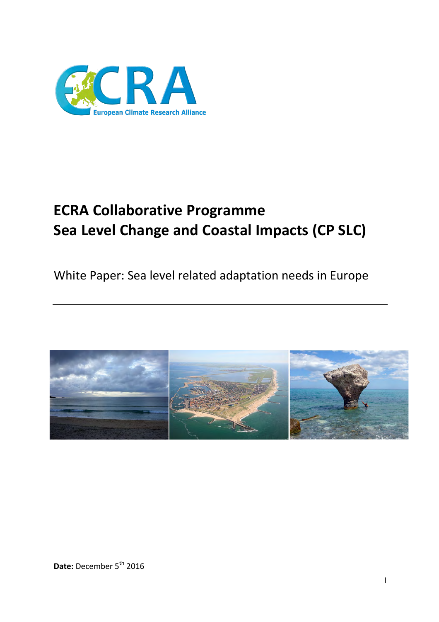

# **ECRA Collaborative Programme Sea Level Change and Coastal Impacts (CP SLC)**

White Paper: Sea level related adaptation needs in Europe

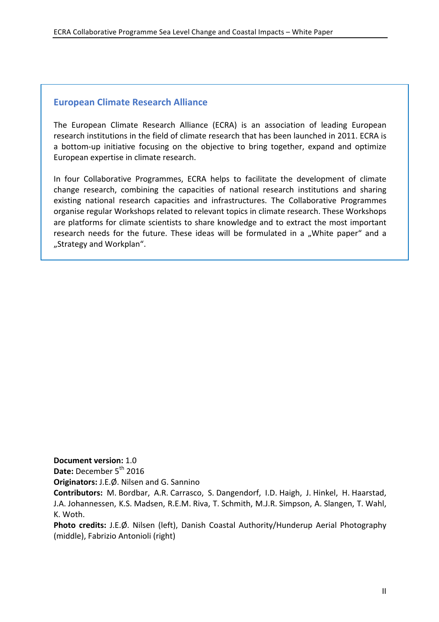#### **European Climate Research Alliance**

The European Climate Research Alliance (ECRA) is an association of leading European research institutions in the field of climate research that has been launched in 2011. ECRA is a bottom-up initiative focusing on the objective to bring together, expand and optimize European expertise in climate research.

In four Collaborative Programmes, ECRA helps to facilitate the development of climate change research, combining the capacities of national research institutions and sharing existing national research capacities and infrastructures. The Collaborative Programmes organise regular Workshops related to relevant topics in climate research. These Workshops are platforms for climate scientists to share knowledge and to extract the most important research needs for the future. These ideas will be formulated in a "White paper" and a "Strategy and Workplan".

**Document version: 1.0** 

**Date:** December 5<sup>th</sup> 2016

**Originators:** J.E.Ø. Nilsen and G. Sannino

Contributors: M. Bordbar, A.R. Carrasco, S. Dangendorf, I.D. Haigh, J. Hinkel, H. Haarstad, J.A. Johannessen, K.S. Madsen, R.E.M. Riva, T. Schmith, M.J.R. Simpson, A. Slangen, T. Wahl, K. Woth. 

Photo credits: J.E.Ø. Nilsen (left), Danish Coastal Authority/Hunderup Aerial Photography (middle), Fabrizio Antonioli (right)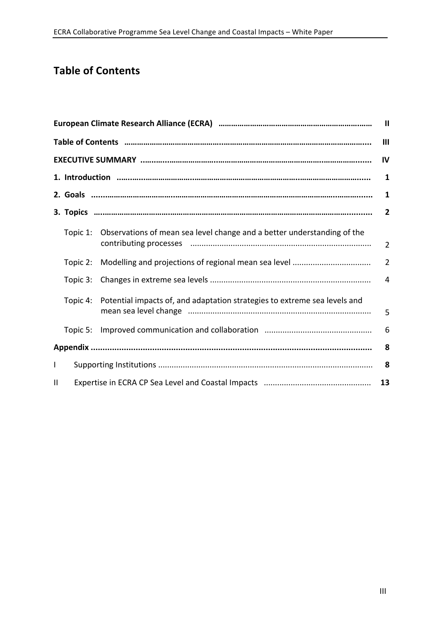### **Table of Contents**

| $\blacksquare$ |                |                                                                           |                |  |  |  |
|----------------|----------------|---------------------------------------------------------------------------|----------------|--|--|--|
|                | $\mathbf{III}$ |                                                                           |                |  |  |  |
|                |                |                                                                           | IV             |  |  |  |
|                |                |                                                                           | 1              |  |  |  |
|                |                |                                                                           | 1              |  |  |  |
|                |                |                                                                           | $\overline{2}$ |  |  |  |
|                | Topic 1:       | Observations of mean sea level change and a better understanding of the   | $\overline{2}$ |  |  |  |
|                | Topic 2:       |                                                                           | $\overline{2}$ |  |  |  |
|                | Topic 3:       |                                                                           | $\overline{4}$ |  |  |  |
|                | Topic 4:       | Potential impacts of, and adaptation strategies to extreme sea levels and | 5              |  |  |  |
|                | Topic 5:       |                                                                           | 6              |  |  |  |
|                | 8              |                                                                           |                |  |  |  |
| $\mathsf{I}$   |                |                                                                           |                |  |  |  |
| $\mathbf{H}$   | 13             |                                                                           |                |  |  |  |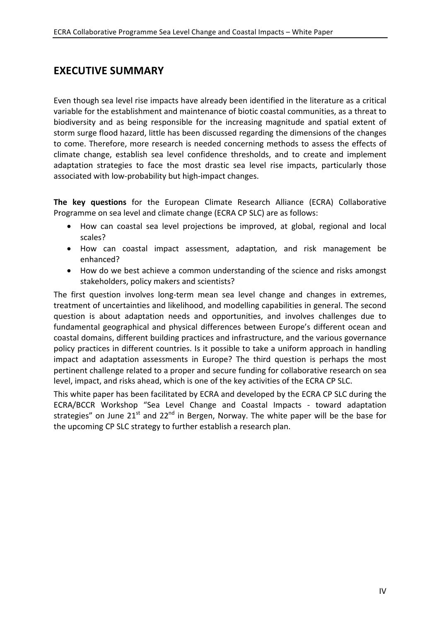### **EXECUTIVE SUMMARY**

Even though sea level rise impacts have already been identified in the literature as a critical variable for the establishment and maintenance of biotic coastal communities, as a threat to biodiversity and as being responsible for the increasing magnitude and spatial extent of storm surge flood hazard, little has been discussed regarding the dimensions of the changes to come. Therefore, more research is needed concerning methods to assess the effects of climate change, establish sea level confidence thresholds, and to create and implement adaptation strategies to face the most drastic sea level rise impacts, particularly those associated with low-probability but high-impact changes.

**The key questions** for the European Climate Research Alliance (ECRA) Collaborative Programme on sea level and climate change (ECRA CP SLC) are as follows:

- How can coastal sea level projections be improved, at global, regional and local scales?
- How can coastal impact assessment, adaptation, and risk management be enhanced?
- How do we best achieve a common understanding of the science and risks amongst stakeholders, policy makers and scientists?

The first question involves long-term mean sea level change and changes in extremes, treatment of uncertainties and likelihood, and modelling capabilities in general. The second question is about adaptation needs and opportunities, and involves challenges due to fundamental geographical and physical differences between Europe's different ocean and coastal domains, different building practices and infrastructure, and the various governance policy practices in different countries. Is it possible to take a uniform approach in handling impact and adaptation assessments in Europe? The third question is perhaps the most pertinent challenge related to a proper and secure funding for collaborative research on sea level, impact, and risks ahead, which is one of the key activities of the ECRA CP SLC.

This white paper has been facilitated by ECRA and developed by the ECRA CP SLC during the ECRA/BCCR Workshop "Sea Level Change and Coastal Impacts - toward adaptation strategies" on June  $21<sup>st</sup>$  and  $22<sup>nd</sup>$  in Bergen, Norway. The white paper will be the base for the upcoming CP SLC strategy to further establish a research plan.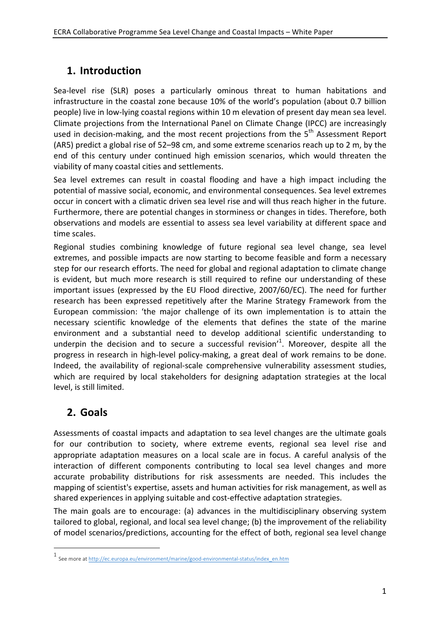# **1. Introduction**

Sea-level rise (SLR) poses a particularly ominous threat to human habitations and infrastructure in the coastal zone because 10% of the world's population (about 0.7 billion people) live in low-lying coastal regions within 10 m elevation of present day mean sea level. Climate projections from the International Panel on Climate Change (IPCC) are increasingly used in decision-making, and the most recent projections from the 5<sup>th</sup> Assessment Report (AR5) predict a global rise of 52–98 cm, and some extreme scenarios reach up to 2 m, by the end of this century under continued high emission scenarios, which would threaten the viability of many coastal cities and settlements.

Sea level extremes can result in coastal flooding and have a high impact including the potential of massive social, economic, and environmental consequences. Sea level extremes occur in concert with a climatic driven sea level rise and will thus reach higher in the future. Furthermore, there are potential changes in storminess or changes in tides. Therefore, both observations and models are essential to assess sea level variability at different space and time scales.

Regional studies combining knowledge of future regional sea level change, sea level extremes, and possible impacts are now starting to become feasible and form a necessary step for our research efforts. The need for global and regional adaptation to climate change is evident, but much more research is still required to refine our understanding of these important issues (expressed by the EU Flood directive, 2007/60/EC). The need for further research has been expressed repetitively after the Marine Strategy Framework from the European commission: 'the major challenge of its own implementation is to attain the necessary scientific knowledge of the elements that defines the state of the marine environment and a substantial need to develop additional scientific understanding to underpin the decision and to secure a successful revision'<sup>1</sup>. Moreover, despite all the progress in research in high-level policy-making, a great deal of work remains to be done. Indeed, the availability of regional-scale comprehensive vulnerability assessment studies, which are required by local stakeholders for designing adaptation strategies at the local level, is still limited.

# **2. Goals**

 $\overline{a}$ 

Assessments of coastal impacts and adaptation to sea level changes are the ultimate goals for our contribution to society, where extreme events, regional sea level rise and appropriate adaptation measures on a local scale are in focus. A careful analysis of the interaction of different components contributing to local sea level changes and more accurate probability distributions for risk assessments are needed. This includes the mapping of scientist's expertise, assets and human activities for risk management, as well as shared experiences in applying suitable and cost-effective adaptation strategies.

The main goals are to encourage: (a) advances in the multidisciplinary observing system tailored to global, regional, and local sea level change; (b) the improvement of the reliability of model scenarios/predictions, accounting for the effect of both, regional sea level change

<sup>1&</sup>lt;br>See more at http://ec.europa.eu/environment/marine/good-environmental-status/index\_en.htm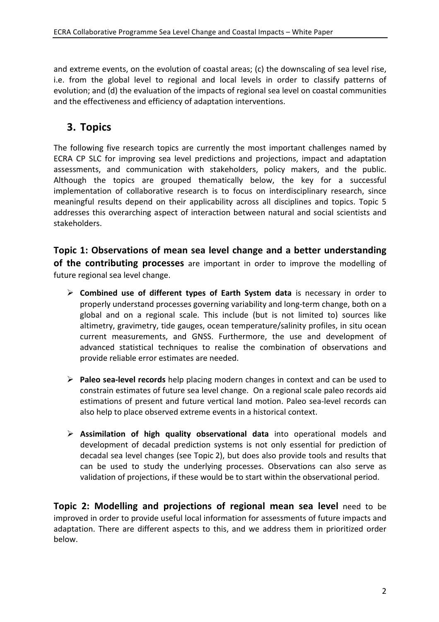and extreme events, on the evolution of coastal areas; (c) the downscaling of sea level rise, i.e. from the global level to regional and local levels in order to classify patterns of evolution; and (d) the evaluation of the impacts of regional sea level on coastal communities and the effectiveness and efficiency of adaptation interventions.

### **3. Topics**

The following five research topics are currently the most important challenges named by ECRA CP SLC for improving sea level predictions and projections, impact and adaptation assessments, and communication with stakeholders, policy makers, and the public. Although the topics are grouped thematically below, the key for a successful implementation of collaborative research is to focus on interdisciplinary research, since meaningful results depend on their applicability across all disciplines and topics. Topic 5 addresses this overarching aspect of interaction between natural and social scientists and stakeholders. 

**Topic 1: Observations of mean sea level change and a better understanding of the contributing processes** are important in order to improve the modelling of future regional sea level change.

- **►** Combined use of different types of Earth System data is necessary in order to properly understand processes governing variability and long-term change, both on a global and on a regional scale. This include (but is not limited to) sources like altimetry, gravimetry, tide gauges, ocean temperature/salinity profiles, in situ ocean current measurements, and GNSS. Furthermore, the use and development of advanced statistical techniques to realise the combination of observations and provide reliable error estimates are needed.
- **►** Paleo sea-level records help placing modern changes in context and can be used to constrain estimates of future sea level change. On a regional scale paleo records aid estimations of present and future vertical land motion. Paleo sea-level records can also help to place observed extreme events in a historical context.
- Ø **Assimilation of high quality observational data**  into operational models and development of decadal prediction systems is not only essential for prediction of decadal sea level changes (see Topic 2), but does also provide tools and results that can be used to study the underlying processes. Observations can also serve as validation of projections, if these would be to start within the observational period.

**Topic 2: Modelling and projections of regional mean sea level** need to be improved in order to provide useful local information for assessments of future impacts and adaptation. There are different aspects to this, and we address them in prioritized order below.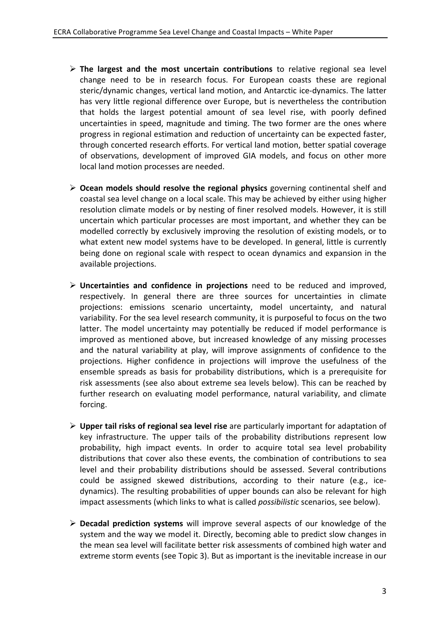- $\triangleright$  The largest and the most uncertain contributions to relative regional sea level change need to be in research focus. For European coasts these are regional steric/dynamic changes, vertical land motion, and Antarctic ice-dynamics. The latter has very little regional difference over Europe, but is nevertheless the contribution that holds the largest potential amount of sea level rise, with poorly defined uncertainties in speed, magnitude and timing. The two former are the ones where progress in regional estimation and reduction of uncertainty can be expected faster, through concerted research efforts. For vertical land motion, better spatial coverage of observations, development of improved GIA models, and focus on other more local land motion processes are needed.
- $\triangleright$  Ocean models should resolve the regional physics governing continental shelf and coastal sea level change on a local scale. This may be achieved by either using higher resolution climate models or by nesting of finer resolved models. However, it is still uncertain which particular processes are most important, and whether they can be modelled correctly by exclusively improving the resolution of existing models, or to what extent new model systems have to be developed. In general, little is currently being done on regional scale with respect to ocean dynamics and expansion in the available projections.
- **► Uncertainties and confidence in projections** need to be reduced and improved, respectively. In general there are three sources for uncertainties in climate projections: emissions scenario uncertainty, model uncertainty, and natural variability. For the sea level research community, it is purposeful to focus on the two latter. The model uncertainty may potentially be reduced if model performance is improved as mentioned above, but increased knowledge of any missing processes and the natural variability at play, will improve assignments of confidence to the projections. Higher confidence in projections will improve the usefulness of the ensemble spreads as basis for probability distributions, which is a prerequisite for risk assessments (see also about extreme sea levels below). This can be reached by further research on evaluating model performance, natural variability, and climate forcing.
- **► Upper tail risks of regional sea level rise** are particularly important for adaptation of key infrastructure. The upper tails of the probability distributions represent low probability, high impact events. In order to acquire total sea level probability distributions that cover also these events, the combination of contributions to sea level and their probability distributions should be assessed. Several contributions could be assigned skewed distributions, according to their nature (e.g., icedynamics). The resulting probabilities of upper bounds can also be relevant for high impact assessments (which links to what is called *possibilistic* scenarios, see below).
- **► Decadal prediction systems** will improve several aspects of our knowledge of the system and the way we model it. Directly, becoming able to predict slow changes in the mean sea level will facilitate better risk assessments of combined high water and extreme storm events (see Topic 3). But as important is the inevitable increase in our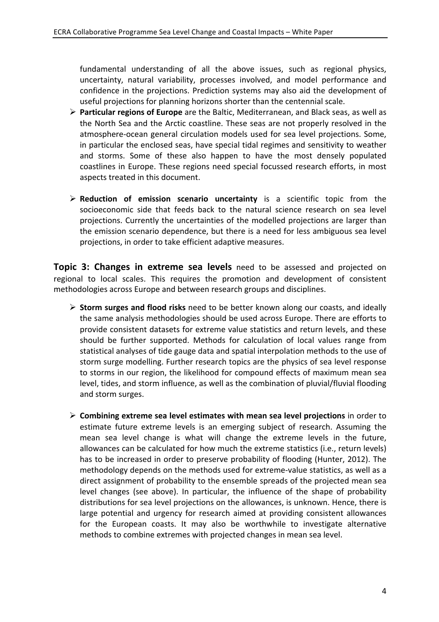fundamental understanding of all the above issues, such as regional physics, uncertainty, natural variability, processes involved, and model performance and confidence in the projections. Prediction systems may also aid the development of useful projections for planning horizons shorter than the centennial scale.

- $\triangleright$  **Particular regions of Europe** are the Baltic, Mediterranean, and Black seas, as well as the North Sea and the Arctic coastline. These seas are not properly resolved in the atmosphere-ocean general circulation models used for sea level projections. Some, in particular the enclosed seas, have special tidal regimes and sensitivity to weather and storms. Some of these also happen to have the most densely populated coastlines in Europe. These regions need special focussed research efforts, in most aspects treated in this document.
- **Example 1** P Reduction of emission scenario uncertainty is a scientific topic from the socioeconomic side that feeds back to the natural science research on sea level projections. Currently the uncertainties of the modelled projections are larger than the emission scenario dependence, but there is a need for less ambiguous sea level projections, in order to take efficient adaptive measures.

**Topic 3: Changes in extreme sea levels** need to be assessed and projected on regional to local scales. This requires the promotion and development of consistent methodologies across Europe and between research groups and disciplines.

- $\triangleright$  **Storm surges and flood risks** need to be better known along our coasts, and ideally the same analysis methodologies should be used across Europe. There are efforts to provide consistent datasets for extreme value statistics and return levels, and these should be further supported. Methods for calculation of local values range from statistical analyses of tide gauge data and spatial interpolation methods to the use of storm surge modelling. Further research topics are the physics of sea level response to storms in our region, the likelihood for compound effects of maximum mean sea level, tides, and storm influence, as well as the combination of pluvial/fluvial flooding and storm surges.
- $\triangleright$  Combining extreme sea level estimates with mean sea level projections in order to estimate future extreme levels is an emerging subject of research. Assuming the mean sea level change is what will change the extreme levels in the future, allowances can be calculated for how much the extreme statistics (i.e., return levels) has to be increased in order to preserve probability of flooding (Hunter, 2012). The methodology depends on the methods used for extreme-value statistics, as well as a direct assignment of probability to the ensemble spreads of the projected mean sea level changes (see above). In particular, the influence of the shape of probability distributions for sea level projections on the allowances, is unknown. Hence, there is large potential and urgency for research aimed at providing consistent allowances for the European coasts. It may also be worthwhile to investigate alternative methods to combine extremes with projected changes in mean sea level.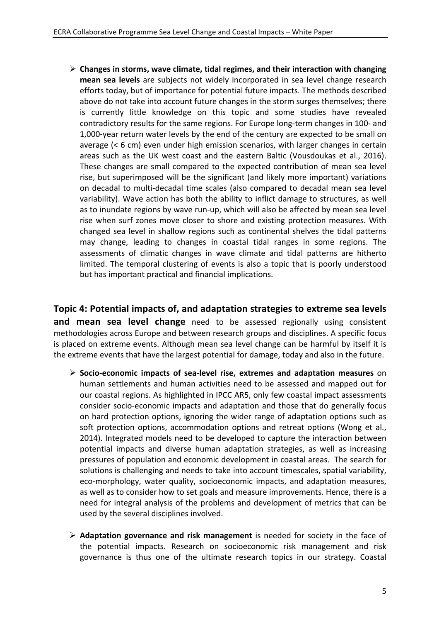$\triangleright$  Changes in storms, wave climate, tidal regimes, and their interaction with changing **mean sea levels** are subjects not widely incorporated in sea level change research efforts today, but of importance for potential future impacts. The methods described above do not take into account future changes in the storm surges themselves; there is currently little knowledge on this topic and some studies have revealed contradictory results for the same regions. For Europe long-term changes in 100- and 1,000-year return water levels by the end of the century are expected to be small on average  $( $6 \text{ cm}$ )$  even under high emission scenarios, with larger changes in certain areas such as the UK west coast and the eastern Baltic (Vousdoukas et al., 2016). These changes are small compared to the expected contribution of mean sea level rise, but superimposed will be the significant (and likely more important) variations on decadal to multi-decadal time scales (also compared to decadal mean sea level variability). Wave action has both the ability to inflict damage to structures, as well as to inundate regions by wave run-up, which will also be affected by mean sea level rise when surf zones move closer to shore and existing protection measures. With changed sea level in shallow regions such as continental shelves the tidal patterns may change, leading to changes in coastal tidal ranges in some regions. The assessments of climatic changes in wave climate and tidal patterns are hitherto limited. The temporal clustering of events is also a topic that is poorly understood but has important practical and financial implications.

**Topic 4: Potential impacts of, and adaptation strategies to extreme sea levels and mean sea level change** need to be assessed regionally using consistent methodologies across Europe and between research groups and disciplines. A specific focus is placed on extreme events. Although mean sea level change can be harmful by itself it is the extreme events that have the largest potential for damage, today and also in the future.

- $\triangleright$  Socio-economic impacts of sea-level rise, extremes and adaptation measures on human settlements and human activities need to be assessed and mapped out for our coastal regions. As highlighted in IPCC AR5, only few coastal impact assessments consider socio-economic impacts and adaptation and those that do generally focus on hard protection options, ignoring the wider range of adaptation options such as soft protection options, accommodation options and retreat options (Wong et al., 2014). Integrated models need to be developed to capture the interaction between potential impacts and diverse human adaptation strategies, as well as increasing pressures of population and economic development in coastal areas. The search for solutions is challenging and needs to take into account timescales, spatial variability, eco-morphology, water quality, socioeconomic impacts, and adaptation measures, as well as to consider how to set goals and measure improvements. Hence, there is a need for integral analysis of the problems and development of metrics that can be used by the several disciplines involved.
- $\triangleright$  **Adaptation governance and risk management** is needed for society in the face of the potential impacts. Research on socioeconomic risk management and risk governance is thus one of the ultimate research topics in our strategy. Coastal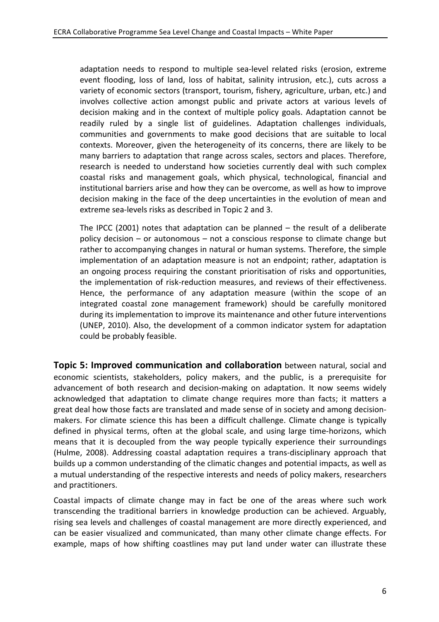adaptation needs to respond to multiple sea-level related risks (erosion, extreme event flooding, loss of land, loss of habitat, salinity intrusion, etc.), cuts across a variety of economic sectors (transport, tourism, fishery, agriculture, urban, etc.) and involves collective action amongst public and private actors at various levels of decision making and in the context of multiple policy goals. Adaptation cannot be readily ruled by a single list of guidelines. Adaptation challenges individuals, communities and governments to make good decisions that are suitable to local contexts. Moreover, given the heterogeneity of its concerns, there are likely to be many barriers to adaptation that range across scales, sectors and places. Therefore, research is needed to understand how societies currently deal with such complex coastal risks and management goals, which physical, technological, financial and institutional barriers arise and how they can be overcome, as well as how to improve decision making in the face of the deep uncertainties in the evolution of mean and extreme sea-levels risks as described in Topic 2 and 3.

The IPCC (2001) notes that adaptation can be planned  $-$  the result of a deliberate policy decision  $-$  or autonomous  $-$  not a conscious response to climate change but rather to accompanying changes in natural or human systems. Therefore, the simple implementation of an adaptation measure is not an endpoint; rather, adaptation is an ongoing process requiring the constant prioritisation of risks and opportunities, the implementation of risk-reduction measures, and reviews of their effectiveness. Hence, the performance of any adaptation measure (within the scope of an integrated coastal zone management framework) should be carefully monitored during its implementation to improve its maintenance and other future interventions (UNEP, 2010). Also, the development of a common indicator system for adaptation could be probably feasible.

**Topic 5: Improved communication and collaboration** between natural, social and economic scientists, stakeholders, policy makers, and the public, is a prerequisite for advancement of both research and decision-making on adaptation. It now seems widely acknowledged that adaptation to climate change requires more than facts; it matters a great deal how those facts are translated and made sense of in society and among decisionmakers. For climate science this has been a difficult challenge. Climate change is typically defined in physical terms, often at the global scale, and using large time-horizons, which means that it is decoupled from the way people typically experience their surroundings (Hulme, 2008). Addressing coastal adaptation requires a trans-disciplinary approach that builds up a common understanding of the climatic changes and potential impacts, as well as a mutual understanding of the respective interests and needs of policy makers, researchers and practitioners.

Coastal impacts of climate change may in fact be one of the areas where such work transcending the traditional barriers in knowledge production can be achieved. Arguably, rising sea levels and challenges of coastal management are more directly experienced, and can be easier visualized and communicated, than many other climate change effects. For example, maps of how shifting coastlines may put land under water can illustrate these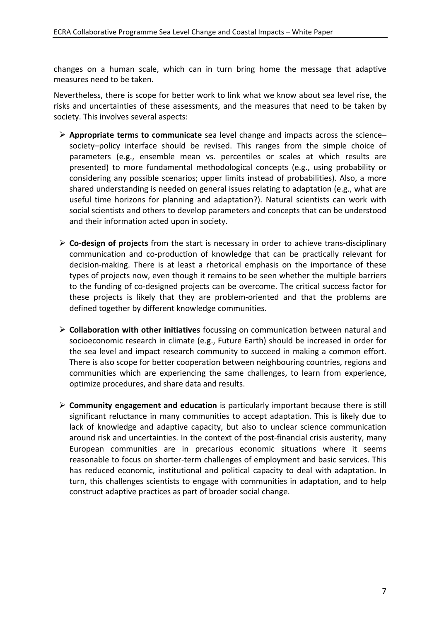changes on a human scale, which can in turn bring home the message that adaptive measures need to be taken.

Nevertheless, there is scope for better work to link what we know about sea level rise, the risks and uncertainties of these assessments, and the measures that need to be taken by society. This involves several aspects:

- **E** Appropriate terms to communicate sea level change and impacts across the science– society–policy interface should be revised. This ranges from the simple choice of parameters (e.g., ensemble mean vs. percentiles or scales at which results are presented) to more fundamental methodological concepts (e.g., using probability or considering any possible scenarios; upper limits instead of probabilities). Also, a more shared understanding is needed on general issues relating to adaptation (e.g., what are useful time horizons for planning and adaptation?). Natural scientists can work with social scientists and others to develop parameters and concepts that can be understood and their information acted upon in society.
- $\triangleright$  **Co-design of projects** from the start is necessary in order to achieve trans-disciplinary communication and co-production of knowledge that can be practically relevant for decision-making. There is at least a rhetorical emphasis on the importance of these types of projects now, even though it remains to be seen whether the multiple barriers to the funding of co-designed projects can be overcome. The critical success factor for these projects is likely that they are problem-oriented and that the problems are defined together by different knowledge communities.
- **≻** Collaboration with other initiatives focussing on communication between natural and socioeconomic research in climate (e.g., Future Earth) should be increased in order for the sea level and impact research community to succeed in making a common effort. There is also scope for better cooperation between neighbouring countries, regions and communities which are experiencing the same challenges, to learn from experience, optimize procedures, and share data and results.
- **► Community engagement and education** is particularly important because there is still significant reluctance in many communities to accept adaptation. This is likely due to lack of knowledge and adaptive capacity, but also to unclear science communication around risk and uncertainties. In the context of the post-financial crisis austerity, many European communities are in precarious economic situations where it seems reasonable to focus on shorter-term challenges of employment and basic services. This has reduced economic, institutional and political capacity to deal with adaptation. In turn, this challenges scientists to engage with communities in adaptation, and to help construct adaptive practices as part of broader social change.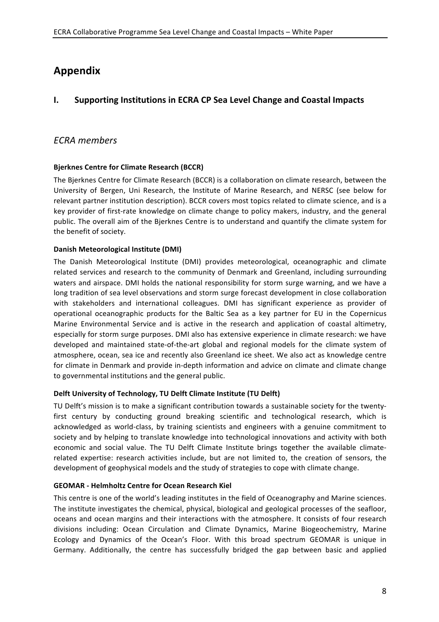## **Appendix**

#### **I.** Supporting Institutions in ECRA CP Sea Level Change and Coastal Impacts

#### *ECRA members*

#### **Bjerknes Centre for Climate Research (BCCR)**

The Bjerknes Centre for Climate Research (BCCR) is a collaboration on climate research, between the University of Bergen, Uni Research, the Institute of Marine Research, and NERSC (see below for relevant partner institution description). BCCR covers most topics related to climate science, and is a key provider of first-rate knowledge on climate change to policy makers, industry, and the general public. The overall aim of the Bjerknes Centre is to understand and quantify the climate system for the benefit of society.

#### **Danish Meteorological Institute (DMI)**

The Danish Meteorological Institute (DMI) provides meteorological, oceanographic and climate related services and research to the community of Denmark and Greenland, including surrounding waters and airspace. DMI holds the national responsibility for storm surge warning, and we have a long tradition of sea level observations and storm surge forecast development in close collaboration with stakeholders and international colleagues. DMI has significant experience as provider of operational oceanographic products for the Baltic Sea as a key partner for EU in the Copernicus Marine Environmental Service and is active in the research and application of coastal altimetry, especially for storm surge purposes. DMI also has extensive experience in climate research: we have developed and maintained state-of-the-art global and regional models for the climate system of atmosphere, ocean, sea ice and recently also Greenland ice sheet. We also act as knowledge centre for climate in Denmark and provide in-depth information and advice on climate and climate change to governmental institutions and the general public.

#### Delft University of Technology, TU Delft Climate Institute (TU Delft)

TU Delft's mission is to make a significant contribution towards a sustainable society for the twentyfirst century by conducting ground breaking scientific and technological research, which is acknowledged as world-class, by training scientists and engineers with a genuine commitment to society and by helping to translate knowledge into technological innovations and activity with both economic and social value. The TU Delft Climate Institute brings together the available climaterelated expertise: research activities include, but are not limited to, the creation of sensors, the development of geophysical models and the study of strategies to cope with climate change.

#### **GEOMAR** - Helmholtz Centre for Ocean Research Kiel

This centre is one of the world's leading institutes in the field of Oceanography and Marine sciences. The institute investigates the chemical, physical, biological and geological processes of the seafloor, oceans and ocean margins and their interactions with the atmosphere. It consists of four research divisions including: Ocean Circulation and Climate Dynamics, Marine Biogeochemistry, Marine Ecology and Dynamics of the Ocean's Floor. With this broad spectrum GEOMAR is unique in Germany. Additionally, the centre has successfully bridged the gap between basic and applied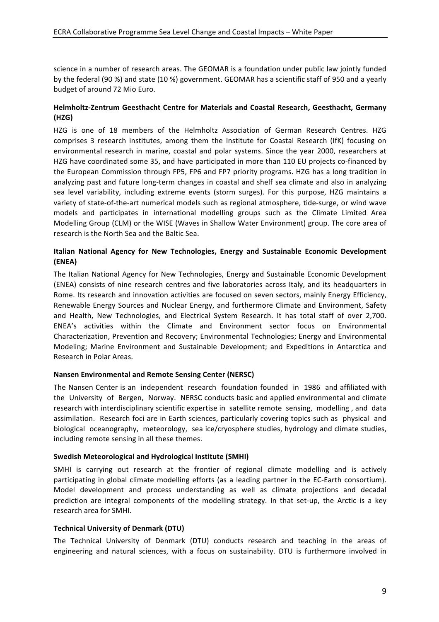science in a number of research areas. The GEOMAR is a foundation under public law jointly funded by the federal (90 %) and state (10 %) government. GEOMAR has a scientific staff of 950 and a yearly budget of around 72 Mio Euro.

#### Helmholtz-Zentrum Geesthacht Centre for Materials and Coastal Research, Geesthacht, Germany **(HZG)**

HZG is one of 18 members of the Helmholtz Association of German Research Centres. HZG comprises 3 research institutes, among them the Institute for Coastal Research (IfK) focusing on environmental research in marine, coastal and polar systems. Since the year 2000, researchers at HZG have coordinated some 35, and have participated in more than 110 EU projects co-financed by the European Commission through FP5, FP6 and FP7 priority programs. HZG has a long tradition in analyzing past and future long-term changes in coastal and shelf sea climate and also in analyzing sea level variability, including extreme events (storm surges). For this purpose, HZG maintains a variety of state-of-the-art numerical models such as regional atmosphere, tide-surge, or wind wave models and participates in international modelling groups such as the Climate Limited Area Modelling Group (CLM) or the WISE (Waves in Shallow Water Environment) group. The core area of research is the North Sea and the Baltic Sea.

#### **Italian National Agency for New Technologies, Energy and Sustainable Economic Development (ENEA)**

The Italian National Agency for New Technologies, Energy and Sustainable Economic Development (ENEA) consists of nine research centres and five laboratories across Italy, and its headquarters in Rome. Its research and innovation activities are focused on seven sectors, mainly Energy Efficiency, Renewable Energy Sources and Nuclear Energy, and furthermore Climate and Environment, Safety and Health, New Technologies, and Electrical System Research. It has total staff of over 2,700. ENEA's activities within the Climate and Environment sector focus on Environmental Characterization, Prevention and Recovery; Environmental Technologies; Energy and Environmental Modeling; Marine Environment and Sustainable Development; and Expeditions in Antarctica and Research in Polar Areas.

#### **Nansen Environmental and Remote Sensing Center (NERSC)**

The Nansen Center is an independent research foundation founded in 1986 and affiliated with the University of Bergen, Norway. NERSC conducts basic and applied environmental and climate research with interdisciplinary scientific expertise in satellite remote sensing, modelling, and data assimilation. Research foci are in Earth sciences, particularly covering topics such as physical and biological oceanography, meteorology, sea ice/cryosphere studies, hydrology and climate studies, including remote sensing in all these themes.

#### **Swedish Meteorological and Hydrological Institute (SMHI)**

SMHI is carrying out research at the frontier of regional climate modelling and is actively participating in global climate modelling efforts (as a leading partner in the EC-Earth consortium). Model development and process understanding as well as climate projections and decadal prediction are integral components of the modelling strategy. In that set-up, the Arctic is a key research area for SMHI.

#### **Technical University of Denmark (DTU)**

The Technical University of Denmark (DTU) conducts research and teaching in the areas of engineering and natural sciences, with a focus on sustainability. DTU is furthermore involved in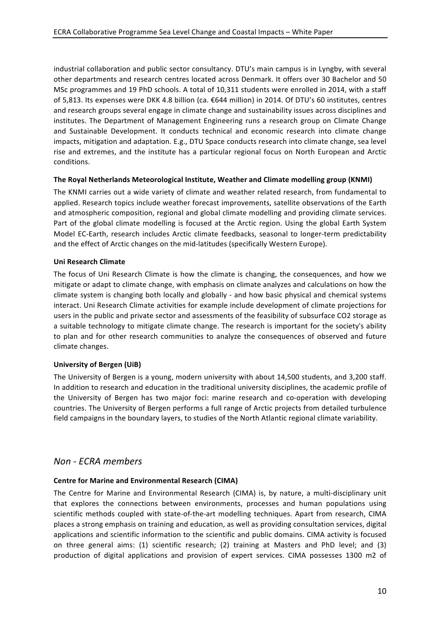industrial collaboration and public sector consultancy. DTU's main campus is in Lyngby, with several other departments and research centres located across Denmark. It offers over 30 Bachelor and 50 MSc programmes and 19 PhD schools. A total of 10,311 students were enrolled in 2014, with a staff of 5,813. Its expenses were DKK 4.8 billion (ca. €644 million) in 2014. Of DTU's 60 institutes, centres and research groups several engage in climate change and sustainability issues across disciplines and institutes. The Department of Management Engineering runs a research group on Climate Change and Sustainable Development. It conducts technical and economic research into climate change impacts, mitigation and adaptation. E.g., DTU Space conducts research into climate change, sea level rise and extremes, and the institute has a particular regional focus on North European and Arctic conditions.

#### The Royal Netherlands Meteorological Institute, Weather and Climate modelling group (KNMI)

The KNMI carries out a wide variety of climate and weather related research, from fundamental to applied. Research topics include weather forecast improvements, satellite observations of the Earth and atmospheric composition, regional and global climate modelling and providing climate services. Part of the global climate modelling is focused at the Arctic region. Using the global Earth System Model EC-Earth, research includes Arctic climate feedbacks, seasonal to longer-term predictability and the effect of Arctic changes on the mid-latitudes (specifically Western Europe).

#### **Uni Research Climate**

The focus of Uni Research Climate is how the climate is changing, the consequences, and how we mitigate or adapt to climate change, with emphasis on climate analyzes and calculations on how the climate system is changing both locally and globally - and how basic physical and chemical systems interact. Uni Research Climate activities for example include development of climate projections for users in the public and private sector and assessments of the feasibility of subsurface CO2 storage as a suitable technology to mitigate climate change. The research is important for the society's ability to plan and for other research communities to analyze the consequences of observed and future climate changes.

#### **University of Bergen (UiB)**

The University of Bergen is a young, modern university with about 14,500 students, and 3,200 staff. In addition to research and education in the traditional university disciplines, the academic profile of the University of Bergen has two major foci: marine research and co-operation with developing countries. The University of Bergen performs a full range of Arctic projects from detailed turbulence field campaigns in the boundary layers, to studies of the North Atlantic regional climate variability.

#### *Non - ECRA members*

#### **Centre for Marine and Environmental Research (CIMA)**

The Centre for Marine and Environmental Research (CIMA) is, by nature, a multi-disciplinary unit that explores the connections between environments, processes and human populations using scientific methods coupled with state-of-the-art modelling techniques. Apart from research, CIMA places a strong emphasis on training and education, as well as providing consultation services, digital applications and scientific information to the scientific and public domains. CIMA activity is focused on three general aims: (1) scientific research; (2) training at Masters and PhD level; and (3) production of digital applications and provision of expert services. CIMA possesses 1300 m2 of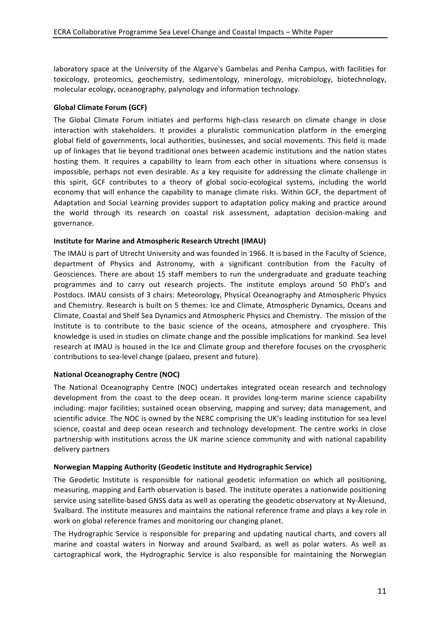laboratory space at the University of the Algarve's Gambelas and Penha Campus, with facilities for toxicology, proteomics, geochemistry, sedimentology, minerology, microbiology, biotechnology, molecular ecology, oceanography, palynology and information technology.

#### Global Climate Forum (GCF)

The Global Climate Forum initiates and performs high-class research on climate change in close interaction with stakeholders. It provides a pluralistic communication platform in the emerging global field of governments, local authorities, businesses, and social movements. This field is made up of linkages that lie beyond traditional ones between academic institutions and the nation states hosting them. It requires a capability to learn from each other in situations where consensus is impossible, perhaps not even desirable. As a key requisite for addressing the climate challenge in this spirit, GCF contributes to a theory of global socio-ecological systems, including the world economy that will enhance the capability to manage climate risks. Within GCF, the department of Adaptation and Social Learning provides support to adaptation policy making and practice around the world through its research on coastal risk assessment, adaptation decision-making and governance.

#### **Institute for Marine and Atmospheric Research Utrecht (IMAU)**

The IMAU is part of Utrecht University and was founded in 1966. It is based in the Faculty of Science, department of Physics and Astronomy, with a significant contribution from the Faculty of Geosciences. There are about 15 staff members to run the undergraduate and graduate teaching programmes and to carry out research projects. The institute employs around 50 PhD's and Postdocs. IMAU consists of 3 chairs: Meteorology, Physical Oceanography and Atmospheric Physics and Chemistry. Research is built on 5 themes: Ice and Climate, Atmospheric Dynamics, Oceans and Climate, Coastal and Shelf Sea Dynamics and Atmospheric Physics and Chemistry. The mission of the Institute is to contribute to the basic science of the oceans, atmosphere and cryosphere. This knowledge is used in studies on climate change and the possible implications for mankind. Sea level research at IMAU is housed in the Ice and Climate group and therefore focuses on the cryospheric contributions to sea-level change (palaeo, present and future).

#### **National Oceanography Centre (NOC)**

The National Oceanography Centre (NOC) undertakes integrated ocean research and technology development from the coast to the deep ocean. It provides long-term marine science capability including: major facilities; sustained ocean observing, mapping and survey; data management, and scientific advice. The NOC is owned by the NERC comprising the UK's leading institution for sea level science, coastal and deep ocean research and technology development. The centre works in close partnership with institutions across the UK marine science community and with national capability delivery partners

#### **Norwegian Mapping Authority (Geodetic Institute and Hydrographic Service)**

The Geodetic Institute is responsible for national geodetic information on which all positioning, measuring, mapping and Earth observation is based. The institute operates a nationwide positioning service using satellite-based GNSS data as well as operating the geodetic observatory at Ny-Ålesund, Svalbard. The institute measures and maintains the national reference frame and plays a key role in work on global reference frames and monitoring our changing planet.

The Hydrographic Service is responsible for preparing and updating nautical charts, and covers all marine and coastal waters in Norway and around Svalbard, as well as polar waters. As well as cartographical work, the Hydrographic Service is also responsible for maintaining the Norwegian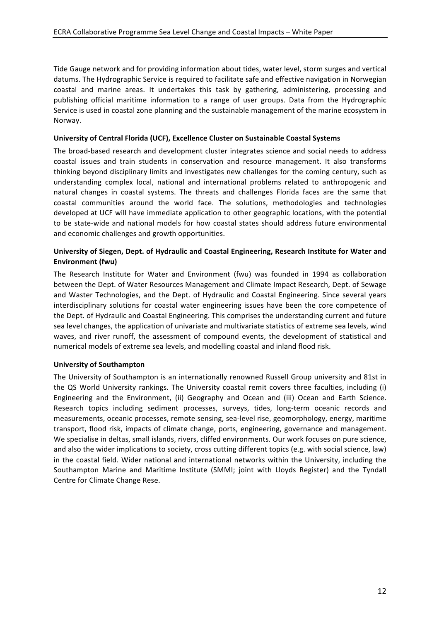Tide Gauge network and for providing information about tides, water level, storm surges and vertical datums. The Hydrographic Service is required to facilitate safe and effective navigation in Norwegian coastal and marine areas. It undertakes this task by gathering, administering, processing and publishing official maritime information to a range of user groups. Data from the Hydrographic Service is used in coastal zone planning and the sustainable management of the marine ecosystem in Norway.

#### University of Central Florida (UCF), Excellence Cluster on Sustainable Coastal Systems

The broad-based research and development cluster integrates science and social needs to address coastal issues and train students in conservation and resource management. It also transforms thinking beyond disciplinary limits and investigates new challenges for the coming century, such as understanding complex local, national and international problems related to anthropogenic and natural changes in coastal systems. The threats and challenges Florida faces are the same that coastal communities around the world face. The solutions, methodologies and technologies developed at UCF will have immediate application to other geographic locations, with the potential to be state-wide and national models for how coastal states should address future environmental and economic challenges and growth opportunities.

#### University of Siegen, Dept. of Hydraulic and Coastal Engineering, Research Institute for Water and **Environment (fwu)**

The Research Institute for Water and Environment (fwu) was founded in 1994 as collaboration between the Dept. of Water Resources Management and Climate Impact Research, Dept. of Sewage and Waster Technologies, and the Dept. of Hydraulic and Coastal Engineering. Since several years interdisciplinary solutions for coastal water engineering issues have been the core competence of the Dept. of Hydraulic and Coastal Engineering. This comprises the understanding current and future sea level changes, the application of univariate and multivariate statistics of extreme sea levels, wind waves, and river runoff, the assessment of compound events, the development of statistical and numerical models of extreme sea levels, and modelling coastal and inland flood risk.

#### **University of Southampton**

The University of Southampton is an internationally renowned Russell Group university and 81st in the QS World University rankings. The University coastal remit covers three faculties, including (i) Engineering and the Environment, (ii) Geography and Ocean and (iii) Ocean and Earth Science. Research topics including sediment processes, surveys, tides, long-term oceanic records and measurements, oceanic processes, remote sensing, sea-level rise, geomorphology, energy, maritime transport, flood risk, impacts of climate change, ports, engineering, governance and management. We specialise in deltas, small islands, rivers, cliffed environments. Our work focuses on pure science, and also the wider implications to society, cross cutting different topics (e.g. with social science, law) in the coastal field. Wider national and international networks within the University, including the Southampton Marine and Maritime Institute (SMMI; joint with Lloyds Register) and the Tyndall Centre for Climate Change Rese.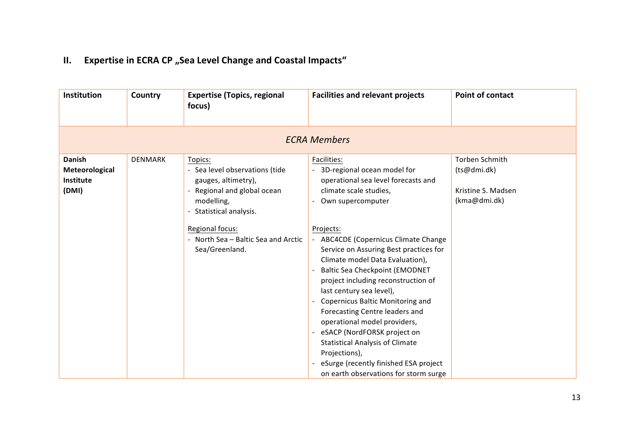# **II.** Expertise in ECRA CP "Sea Level Change and Coastal Impacts"

| <b>Institution</b>                                    | Country             | <b>Expertise (Topics, regional</b><br>focus)                                                                                           | <b>Facilities and relevant projects</b>                                                                                                                                                                                                                                                                                                                                                                                                                                                                                      | <b>Point of contact</b>                                             |  |  |  |  |
|-------------------------------------------------------|---------------------|----------------------------------------------------------------------------------------------------------------------------------------|------------------------------------------------------------------------------------------------------------------------------------------------------------------------------------------------------------------------------------------------------------------------------------------------------------------------------------------------------------------------------------------------------------------------------------------------------------------------------------------------------------------------------|---------------------------------------------------------------------|--|--|--|--|
|                                                       | <b>ECRA Members</b> |                                                                                                                                        |                                                                                                                                                                                                                                                                                                                                                                                                                                                                                                                              |                                                                     |  |  |  |  |
| <b>Danish</b><br>Meteorological<br>Institute<br>(DMI) | <b>DENMARK</b>      | Topics:<br>- Sea level observations (tide<br>gauges, altimetry),<br>Regional and global ocean<br>modelling,<br>- Statistical analysis. | Facilities:<br>3D-regional ocean model for<br>operational sea level forecasts and<br>climate scale studies,<br>Own supercomputer                                                                                                                                                                                                                                                                                                                                                                                             | Torben Schmith<br>(ts@dmi.dk)<br>Kristine S. Madsen<br>(kma@dmi.dk) |  |  |  |  |
|                                                       |                     | Regional focus:<br>- North Sea - Baltic Sea and Arctic<br>Sea/Greenland.                                                               | Projects:<br>- ABC4CDE (Copernicus Climate Change<br>Service on Assuring Best practices for<br>Climate model Data Evaluation),<br><b>Baltic Sea Checkpoint (EMODNET</b><br>project including reconstruction of<br>last century sea level),<br>Copernicus Baltic Monitoring and<br>Forecasting Centre leaders and<br>operational model providers,<br>eSACP (NordFORSK project on<br><b>Statistical Analysis of Climate</b><br>Projections),<br>eSurge (recently finished ESA project<br>on earth observations for storm surge |                                                                     |  |  |  |  |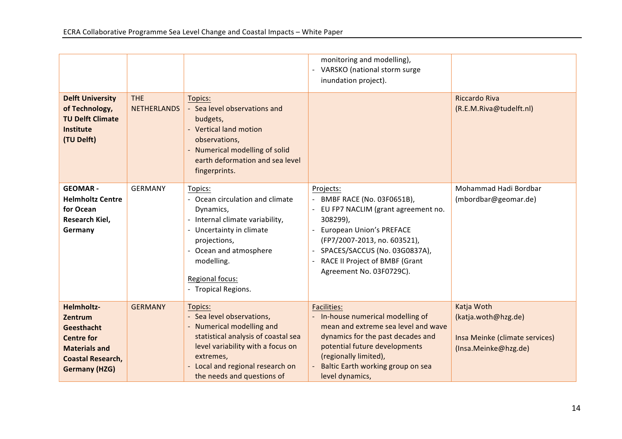|                                                                                                                                      |                                  |                                                                                                                                                                                                                            | monitoring and modelling),<br>- VARSKO (national storm surge<br>inundation project).                                                                                                                                                                       |                                                                                             |
|--------------------------------------------------------------------------------------------------------------------------------------|----------------------------------|----------------------------------------------------------------------------------------------------------------------------------------------------------------------------------------------------------------------------|------------------------------------------------------------------------------------------------------------------------------------------------------------------------------------------------------------------------------------------------------------|---------------------------------------------------------------------------------------------|
| <b>Delft University</b><br>of Technology,<br><b>TU Delft Climate</b><br><b>Institute</b><br>(TU Delft)                               | <b>THE</b><br><b>NETHERLANDS</b> | Topics:<br>- Sea level observations and<br>budgets,<br>- Vertical land motion<br>observations,<br>- Numerical modelling of solid<br>earth deformation and sea level<br>fingerprints.                                       |                                                                                                                                                                                                                                                            | <b>Riccardo Riva</b><br>(R.E.M.Riva@tudelft.nl)                                             |
| <b>GEOMAR-</b><br><b>Helmholtz Centre</b><br>for Ocean<br><b>Research Kiel,</b><br>Germany                                           | <b>GERMANY</b>                   | Topics:<br>- Ocean circulation and climate<br>Dynamics,<br>Internal climate variability,<br>- Uncertainty in climate<br>projections,<br>- Ocean and atmosphere<br>modelling.<br>Regional focus:<br>- Tropical Regions.     | Projects:<br>BMBF RACE (No. 03F0651B),<br>EU FP7 NACLIM (grant agreement no.<br>308299),<br><b>European Union's PREFACE</b><br>(FP7/2007-2013, no. 603521),<br>SPACES/SACCUS (No. 03G0837A),<br>RACE II Project of BMBF (Grant<br>Agreement No. 03F0729C). | Mohammad Hadi Bordbar<br>(mbordbar@geomar.de)                                               |
| Helmholtz-<br>Zentrum<br>Geesthacht<br><b>Centre for</b><br><b>Materials and</b><br><b>Coastal Research,</b><br><b>Germany (HZG)</b> | <b>GERMANY</b>                   | Topics:<br>- Sea level observations,<br>- Numerical modelling and<br>statistical analysis of coastal sea<br>level variability with a focus on<br>extremes,<br>Local and regional research on<br>the needs and questions of | <b>Facilities:</b><br>In-house numerical modelling of<br>mean and extreme sea level and wave<br>dynamics for the past decades and<br>potential future developments<br>(regionally limited),<br>Baltic Earth working group on sea<br>level dynamics,        | Katja Woth<br>(katja.woth@hzg.de)<br>Insa Meinke (climate services)<br>(Insa.Meinke@hzg.de) |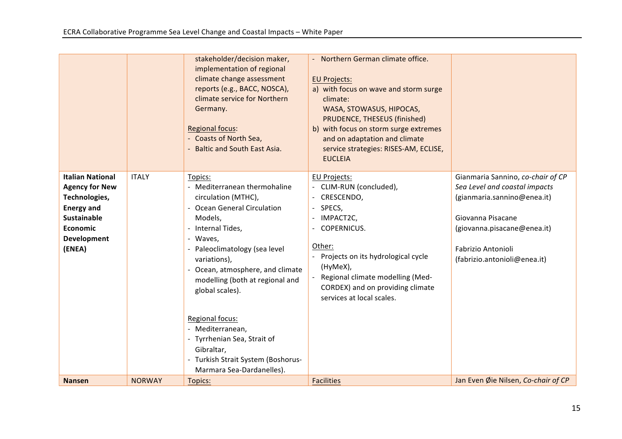|                                                                                                                                                                 |               | stakeholder/decision maker,<br>implementation of regional<br>climate change assessment<br>reports (e.g., BACC, NOSCA),<br>climate service for Northern<br>Germany.<br><b>Regional focus:</b><br>- Coasts of North Sea,<br>- Baltic and South East Asia.                                                                                                                                                                                     | - Northern German climate office.<br><b>EU Projects:</b><br>a) with focus on wave and storm surge<br>climate:<br>WASA, STOWASUS, HIPOCAS,<br>PRUDENCE, THESEUS (finished)<br>b) with focus on storm surge extremes<br>and on adaptation and climate<br>service strategies: RISES-AM, ECLISE,<br><b>EUCLEIA</b> |                                                                                                                                                                                                                    |
|-----------------------------------------------------------------------------------------------------------------------------------------------------------------|---------------|---------------------------------------------------------------------------------------------------------------------------------------------------------------------------------------------------------------------------------------------------------------------------------------------------------------------------------------------------------------------------------------------------------------------------------------------|----------------------------------------------------------------------------------------------------------------------------------------------------------------------------------------------------------------------------------------------------------------------------------------------------------------|--------------------------------------------------------------------------------------------------------------------------------------------------------------------------------------------------------------------|
| <b>Italian National</b><br><b>Agency for New</b><br>Technologies,<br><b>Energy and</b><br><b>Sustainable</b><br><b>Economic</b><br><b>Development</b><br>(ENEA) | <b>ITALY</b>  | Topics:<br>- Mediterranean thermohaline<br>circulation (MTHC),<br>- Ocean General Circulation<br>Models,<br>- Internal Tides,<br>- Waves,<br>- Paleoclimatology (sea level<br>variations),<br>- Ocean, atmosphere, and climate<br>modelling (both at regional and<br>global scales).<br>Regional focus:<br>- Mediterranean,<br>- Tyrrhenian Sea, Strait of<br>Gibraltar,<br>- Turkish Strait System (Boshorus-<br>Marmara Sea-Dardanelles). | EU Projects:<br>- CLIM-RUN (concluded),<br>CRESCENDO,<br>SPECS,<br>IMPACT2C,<br><b>COPERNICUS.</b><br>Other:<br>Projects on its hydrological cycle<br>(HyMeX),<br>Regional climate modelling (Med-<br>CORDEX) and on providing climate<br>services at local scales.                                            | Gianmaria Sannino, co-chair of CP<br>Sea Level and coastal impacts<br>(gianmaria.sannino@enea.it)<br>Giovanna Pisacane<br>(giovanna.pisacane@enea.it)<br><b>Fabrizio Antonioli</b><br>(fabrizio.antonioli@enea.it) |
| <b>Nansen</b>                                                                                                                                                   | <b>NORWAY</b> | Topics:                                                                                                                                                                                                                                                                                                                                                                                                                                     | <b>Facilities</b>                                                                                                                                                                                                                                                                                              | Jan Even Øie Nilsen, Co-chair of CP                                                                                                                                                                                |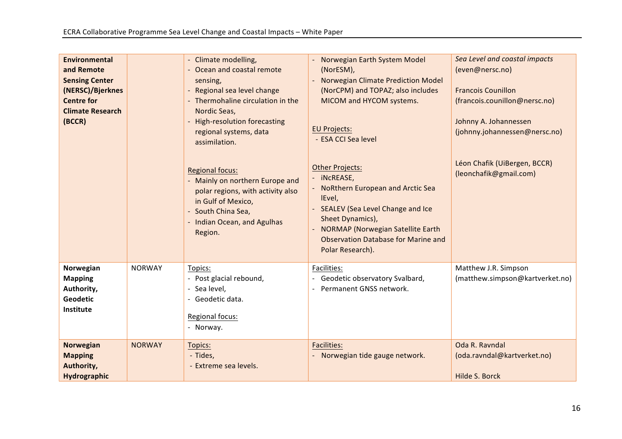| <b>Environmental</b><br>and Remote<br><b>Sensing Center</b><br>(NERSC)/Bjerknes<br><b>Centre for</b><br><b>Climate Research</b><br>(BCCR) |               | - Climate modelling,<br>- Ocean and coastal remote<br>sensing,<br>- Regional sea level change<br>- Thermohaline circulation in the<br>Nordic Seas,<br>- High-resolution forecasting  | Norwegian Earth System Model<br>(NorESM),<br>Norwegian Climate Prediction Model<br>(NorCPM) and TOPAZ; also includes<br>MICOM and HYCOM systems.                                                                         | Sea Level and coastal impacts<br>(even@nersc.no)<br><b>Francois Counillon</b><br>(francois.counillon@nersc.no)<br>Johnny A. Johannessen |
|-------------------------------------------------------------------------------------------------------------------------------------------|---------------|--------------------------------------------------------------------------------------------------------------------------------------------------------------------------------------|--------------------------------------------------------------------------------------------------------------------------------------------------------------------------------------------------------------------------|-----------------------------------------------------------------------------------------------------------------------------------------|
|                                                                                                                                           |               | regional systems, data<br>assimilation.                                                                                                                                              | <b>EU Projects:</b><br>- ESA CCI Sea level<br><b>Other Projects:</b>                                                                                                                                                     | (johnny.johannessen@nersc.no)<br>Léon Chafik (UiBergen, BCCR)                                                                           |
|                                                                                                                                           |               | <b>Regional focus:</b><br>- Mainly on northern Europe and<br>polar regions, with activity also<br>in Gulf of Mexico,<br>- South China Sea,<br>- Indian Ocean, and Agulhas<br>Region. | - iNcREASE,<br><b>NoRthern European and Arctic Sea</b><br>IEvel,<br>SEALEV (Sea Level Change and Ice<br>Sheet Dynamics),<br>NORMAP (Norwegian Satellite Earth<br>Observation Database for Marine and<br>Polar Research). | (leonchafik@gmail.com)                                                                                                                  |
| Norwegian<br><b>Mapping</b><br>Authority,<br><b>Geodetic</b><br>Institute                                                                 | <b>NORWAY</b> | Topics:<br>- Post glacial rebound,<br>Sea level,<br>- Geodetic data.<br>Regional focus:<br>- Norway.                                                                                 | Facilities:<br>- Geodetic observatory Svalbard,<br>Permanent GNSS network.                                                                                                                                               | Matthew J.R. Simpson<br>(matthew.simpson@kartverket.no)                                                                                 |
| <b>Norwegian</b><br><b>Mapping</b><br>Authority,<br>Hydrographic                                                                          | <b>NORWAY</b> | Topics:<br>- Tides,<br>- Extreme sea levels.                                                                                                                                         | <b>Facilities:</b><br>- Norwegian tide gauge network.                                                                                                                                                                    | Oda R. Ravndal<br>(oda.ravndal@kartverket.no)<br>Hilde S. Borck                                                                         |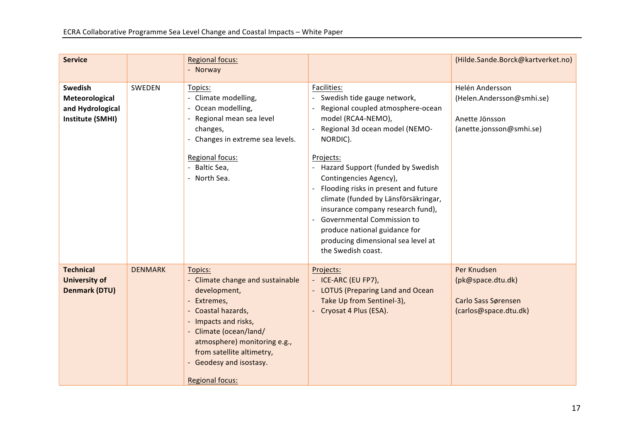| <b>Service</b>                                                    |                | <b>Regional focus:</b><br>- Norway                                                                                                                                                                                                                                 |                                                                                                                                                                                                                                                                                                                                                                                                                                                                                          | (Hilde.Sande.Borck@kartverket.no)                                                          |
|-------------------------------------------------------------------|----------------|--------------------------------------------------------------------------------------------------------------------------------------------------------------------------------------------------------------------------------------------------------------------|------------------------------------------------------------------------------------------------------------------------------------------------------------------------------------------------------------------------------------------------------------------------------------------------------------------------------------------------------------------------------------------------------------------------------------------------------------------------------------------|--------------------------------------------------------------------------------------------|
| Swedish<br>Meteorological<br>and Hydrological<br>Institute (SMHI) | SWEDEN         | Topics:<br>- Climate modelling,<br>- Ocean modelling,<br>- Regional mean sea level<br>changes,<br>- Changes in extreme sea levels.<br>Regional focus:<br>- Baltic Sea,<br>- North Sea.                                                                             | Facilities:<br>Swedish tide gauge network,<br>Regional coupled atmosphere-ocean<br>model (RCA4-NEMO),<br>Regional 3d ocean model (NEMO-<br>NORDIC).<br>Projects:<br>- Hazard Support (funded by Swedish<br>Contingencies Agency),<br>Flooding risks in present and future<br>climate (funded by Länsförsäkringar,<br>insurance company research fund),<br><b>Governmental Commission to</b><br>produce national guidance for<br>producing dimensional sea level at<br>the Swedish coast. | Helén Andersson<br>(Helen.Andersson@smhi.se)<br>Anette Jönsson<br>(anette.jonsson@smhi.se) |
| <b>Technical</b><br><b>University of</b><br><b>Denmark (DTU)</b>  | <b>DENMARK</b> | Topics:<br>- Climate change and sustainable<br>development,<br>Extremes,<br>- Coastal hazards,<br>- Impacts and risks,<br>- Climate (ocean/land/<br>atmosphere) monitoring e.g.,<br>from satellite altimetry,<br>- Geodesy and isostasy.<br><b>Regional focus:</b> | Projects:<br>- ICE-ARC (EU FP7),<br>- LOTUS (Preparing Land and Ocean<br>Take Up from Sentinel-3),<br>- Cryosat 4 Plus (ESA).                                                                                                                                                                                                                                                                                                                                                            | Per Knudsen<br>(pk@space.dtu.dk)<br>Carlo Sass Sørensen<br>(carlos@space.dtu.dk)           |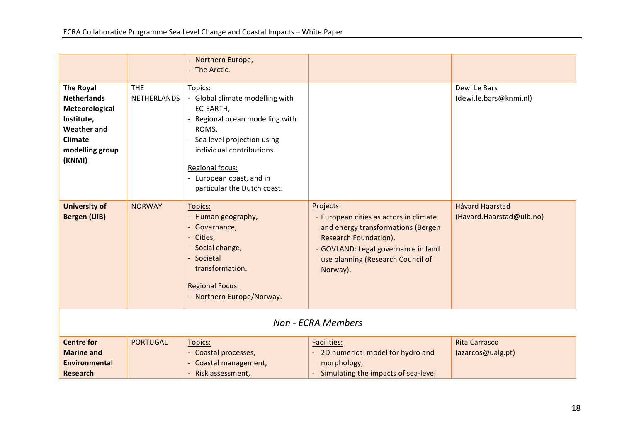| <b>The Royal</b><br><b>Netherlands</b><br>Meteorological                        | <b>THE</b><br><b>NETHERLANDS</b> | Topics:<br>- Global climate modelling with<br>EC-EARTH,                                                                                                      |                                                                                                                                                                                               | Dewi Le Bars<br>(dewi.le.bars@knmi.nl)    |  |  |
|---------------------------------------------------------------------------------|----------------------------------|--------------------------------------------------------------------------------------------------------------------------------------------------------------|-----------------------------------------------------------------------------------------------------------------------------------------------------------------------------------------------|-------------------------------------------|--|--|
| Institute,<br><b>Weather and</b><br><b>Climate</b><br>modelling group<br>(KNMI) |                                  | - Regional ocean modelling with<br>ROMS,<br>- Sea level projection using<br>individual contributions.<br>Regional focus:<br>- European coast, and in         |                                                                                                                                                                                               |                                           |  |  |
| <b>University of</b>                                                            | <b>NORWAY</b>                    | particular the Dutch coast.<br>Topics:                                                                                                                       | Projects:                                                                                                                                                                                     | <b>Håvard Haarstad</b>                    |  |  |
| <b>Bergen (UiB)</b>                                                             |                                  | - Human geography,<br>- Governance,<br>- Cities,<br>- Social change,<br>- Societal<br>transformation.<br><b>Regional Focus:</b><br>- Northern Europe/Norway. | - European cities as actors in climate<br>and energy transformations (Bergen<br>Research Foundation),<br>- GOVLAND: Legal governance in land<br>use planning (Research Council of<br>Norway). | (Havard.Haarstad@uib.no)                  |  |  |
| <b>Non - ECRA Members</b>                                                       |                                  |                                                                                                                                                              |                                                                                                                                                                                               |                                           |  |  |
| <b>Centre for</b><br><b>Marine and</b><br><b>Environmental</b>                  | <b>PORTUGAL</b>                  | Topics:<br>- Coastal processes,<br>- Coastal management,                                                                                                     | <b>Facilities:</b><br>- 2D numerical model for hydro and<br>morphology,<br>Simulating the impacts of sea-level                                                                                | <b>Rita Carrasco</b><br>(azarcos@ualg.pt) |  |  |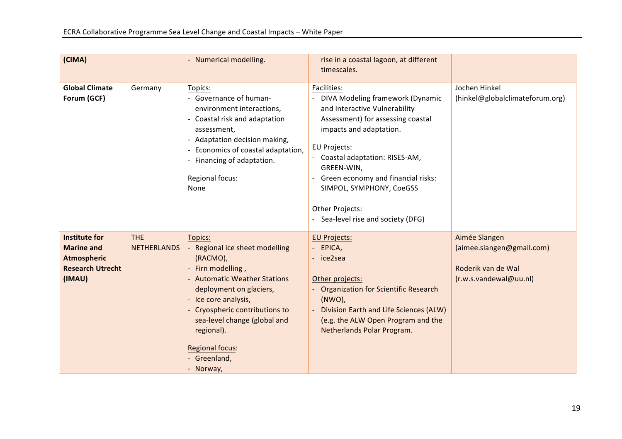| (CIMA)                                                                                               |                                  | - Numerical modelling.                                                                                                                                                                                                                                                                               | rise in a coastal lagoon, at different<br>timescales.                                                                                                                                                                                                                                                                                               |                                                                                            |
|------------------------------------------------------------------------------------------------------|----------------------------------|------------------------------------------------------------------------------------------------------------------------------------------------------------------------------------------------------------------------------------------------------------------------------------------------------|-----------------------------------------------------------------------------------------------------------------------------------------------------------------------------------------------------------------------------------------------------------------------------------------------------------------------------------------------------|--------------------------------------------------------------------------------------------|
| <b>Global Climate</b><br>Forum (GCF)                                                                 | Germany                          | Topics:<br>- Governance of human-<br>environment interactions,<br>Coastal risk and adaptation<br>assessment,<br>- Adaptation decision making,<br>Economics of coastal adaptation,<br>- Financing of adaptation.<br>Regional focus:<br>None                                                           | Facilities:<br>DIVA Modeling framework (Dynamic<br>and Interactive Vulnerability<br>Assessment) for assessing coastal<br>impacts and adaptation.<br><b>EU Projects:</b><br>- Coastal adaptation: RISES-AM,<br>GREEN-WIN,<br>Green economy and financial risks:<br>SIMPOL, SYMPHONY, CoeGSS<br>Other Projects:<br>- Sea-level rise and society (DFG) | Jochen Hinkel<br>(hinkel@globalclimateforum.org)                                           |
| <b>Institute for</b><br><b>Marine and</b><br><b>Atmospheric</b><br><b>Research Utrecht</b><br>(IMAU) | <b>THE</b><br><b>NETHERLANDS</b> | Topics:<br>- Regional ice sheet modelling<br>(RACMO),<br>- Firn modelling,<br>- Automatic Weather Stations<br>deployment on glaciers,<br>- Ice core analysis,<br>- Cryospheric contributions to<br>sea-level change (global and<br>regional).<br><b>Regional focus:</b><br>- Greenland,<br>- Norway, | <b>EU Projects:</b><br>- EPICA,<br>- ice2sea<br>Other projects:<br>- Organization for Scientific Research<br>$(NWO)$ ,<br>Division Earth and Life Sciences (ALW)<br>(e.g. the ALW Open Program and the<br>Netherlands Polar Program.                                                                                                                | Aimée Slangen<br>(aimee.slangen@gmail.com)<br>Roderik van de Wal<br>(r.w.s.vandewal@uu.nl) |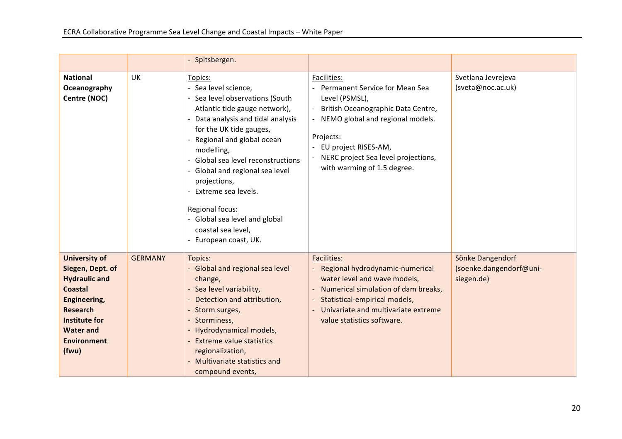|                                                                                                                                                                                                  |                | - Spitsbergen.                                                                                                                                                                                                                                                                                                                                                                                                                 |                                                                                                                                                                                                                                                            |                                                           |
|--------------------------------------------------------------------------------------------------------------------------------------------------------------------------------------------------|----------------|--------------------------------------------------------------------------------------------------------------------------------------------------------------------------------------------------------------------------------------------------------------------------------------------------------------------------------------------------------------------------------------------------------------------------------|------------------------------------------------------------------------------------------------------------------------------------------------------------------------------------------------------------------------------------------------------------|-----------------------------------------------------------|
| <b>National</b><br>Oceanography<br>Centre (NOC)                                                                                                                                                  | <b>UK</b>      | Topics:<br>- Sea level science,<br>- Sea level observations (South<br>Atlantic tide gauge network),<br>Data analysis and tidal analysis<br>for the UK tide gauges,<br>Regional and global ocean<br>modelling,<br>- Global sea level reconstructions<br>- Global and regional sea level<br>projections,<br>Extreme sea levels.<br>Regional focus:<br>- Global sea level and global<br>coastal sea level,<br>European coast, UK. | Facilities:<br>- Permanent Service for Mean Sea<br>Level (PSMSL),<br>British Oceanographic Data Centre,<br>- NEMO global and regional models.<br>Projects:<br>EU project RISES-AM,<br>- NERC project Sea level projections,<br>with warming of 1.5 degree. | Svetlana Jevrejeva<br>(sveta@noc.ac.uk)                   |
| <b>University of</b><br>Siegen, Dept. of<br><b>Hydraulic and</b><br><b>Coastal</b><br>Engineering,<br><b>Research</b><br><b>Institute for</b><br><b>Water and</b><br><b>Environment</b><br>(fwu) | <b>GERMANY</b> | Topics:<br>- Global and regional sea level<br>change,<br>- Sea level variability,<br>Detection and attribution,<br>- Storm surges,<br>- Storminess,<br>- Hydrodynamical models,<br>- Extreme value statistics<br>regionalization,<br>- Multivariate statistics and<br>compound events,                                                                                                                                         | <b>Facilities:</b><br>- Regional hydrodynamic-numerical<br>water level and wave models,<br>Numerical simulation of dam breaks,<br>Statistical-empirical models,<br>Univariate and multivariate extreme<br>value statistics software.                       | Sönke Dangendorf<br>(soenke.dangendorf@uni-<br>siegen.de) |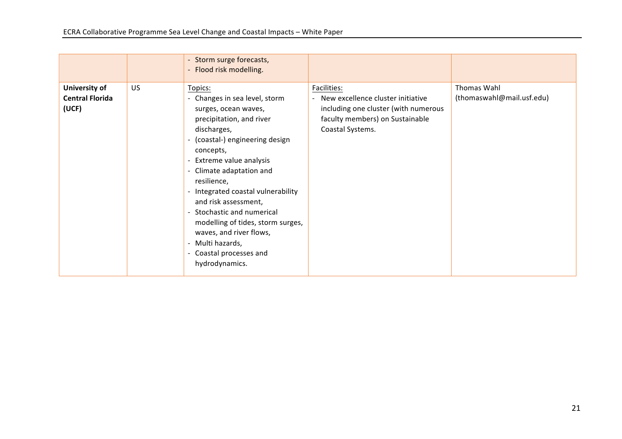|                                                  |    | - Storm surge forecasts,<br>- Flood risk modelling.                                                                                                                                                                                                                                                                                                                                                                                                           |                                                                                                                                                 |                                          |
|--------------------------------------------------|----|---------------------------------------------------------------------------------------------------------------------------------------------------------------------------------------------------------------------------------------------------------------------------------------------------------------------------------------------------------------------------------------------------------------------------------------------------------------|-------------------------------------------------------------------------------------------------------------------------------------------------|------------------------------------------|
| University of<br><b>Central Florida</b><br>(UCF) | US | Topics:<br>- Changes in sea level, storm<br>surges, ocean waves,<br>precipitation, and river<br>discharges,<br>- (coastal-) engineering design<br>concepts,<br>Extreme value analysis<br>- Climate adaptation and<br>resilience,<br>- Integrated coastal vulnerability<br>and risk assessment,<br>- Stochastic and numerical<br>modelling of tides, storm surges,<br>waves, and river flows,<br>- Multi hazards,<br>- Coastal processes and<br>hydrodynamics. | Facilities:<br>New excellence cluster initiative<br>including one cluster (with numerous<br>faculty members) on Sustainable<br>Coastal Systems. | Thomas Wahl<br>(thomaswahl@mail.usf.edu) |